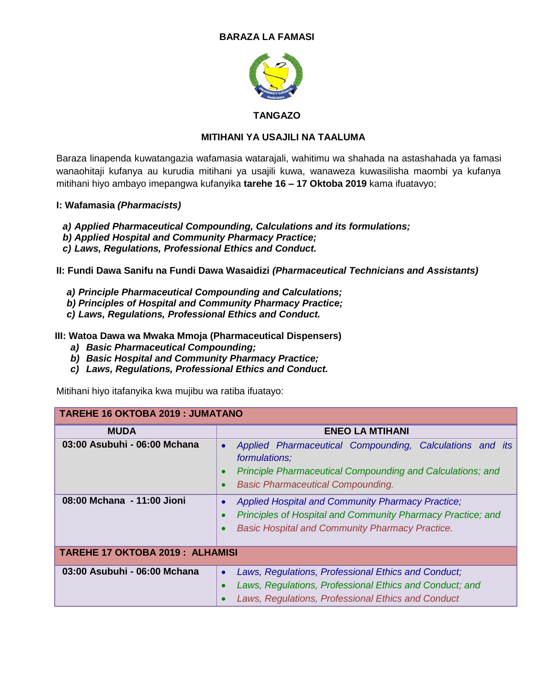# **BARAZA LA FAMASI**



### **TANGAZO**

### **MITIHANI YA USAJILI NA TAALUMA**

Baraza linapenda kuwatangazia wafamasia watarajali, wahitimu wa shahada na astashahada ya famasi wanaohitaji kufanya au kurudia mitihani ya usajili kuwa, wanaweza kuwasilisha maombi ya kufanya mitihani hiyo ambayo imepangwa kufanyika **tarehe 16 – 17 Oktoba 2019** kama ifuatavyo;

### **I: Wafamasia** *(Pharmacists)*

- *a) Applied Pharmaceutical Compounding, Calculations and its formulations;*
- *b) Applied Hospital and Community Pharmacy Practice;*
- *c) Laws, Regulations, Professional Ethics and Conduct.*

### **II: Fundi Dawa Sanifu na Fundi Dawa Wasaidizi** *(Pharmaceutical Technicians and Assistants)*

- *a) Principle Pharmaceutical Compounding and Calculations;*
- *b) Principles of Hospital and Community Pharmacy Practice;*
- *c) Laws, Regulations, Professional Ethics and Conduct.*

**III: Watoa Dawa wa Mwaka Mmoja (Pharmaceutical Dispensers)**

- *a) Basic Pharmaceutical Compounding;*
- *b) Basic Hospital and Community Pharmacy Practice;*
- *c) Laws, Regulations, Professional Ethics and Conduct.*

Mitihani hiyo itafanyika kwa mujibu wa ratiba ifuatayo:

# **TAREHE 16 OKTOBA 2019 : JUMATANO**

| <b>MUDA</b>                            | <b>ENEO LA MTIHANI</b>                                                                                                                                                                                        |
|----------------------------------------|---------------------------------------------------------------------------------------------------------------------------------------------------------------------------------------------------------------|
| 03:00 Asubuhi - 06:00 Mchana           | Applied Pharmaceutical Compounding, Calculations and its<br>$\bullet$<br>formulations;<br>Principle Pharmaceutical Compounding and Calculations; and<br>$\bullet$<br><b>Basic Pharmaceutical Compounding.</b> |
| 08:00 Mchana - 11:00 Jioni             | Applied Hospital and Community Pharmacy Practice;<br><b>Principles of Hospital and Community Pharmacy Practice; and</b><br><b>Basic Hospital and Community Pharmacy Practice.</b>                             |
| <b>TAREHE 17 OKTOBA 2019: ALHAMISI</b> |                                                                                                                                                                                                               |
| 03:00 Asubuhi - 06:00 Mchana           | Laws, Regulations, Professional Ethics and Conduct;<br>$\bullet$<br>Laws, Regulations, Professional Ethics and Conduct; and<br>Laws, Regulations, Professional Ethics and Conduct                             |